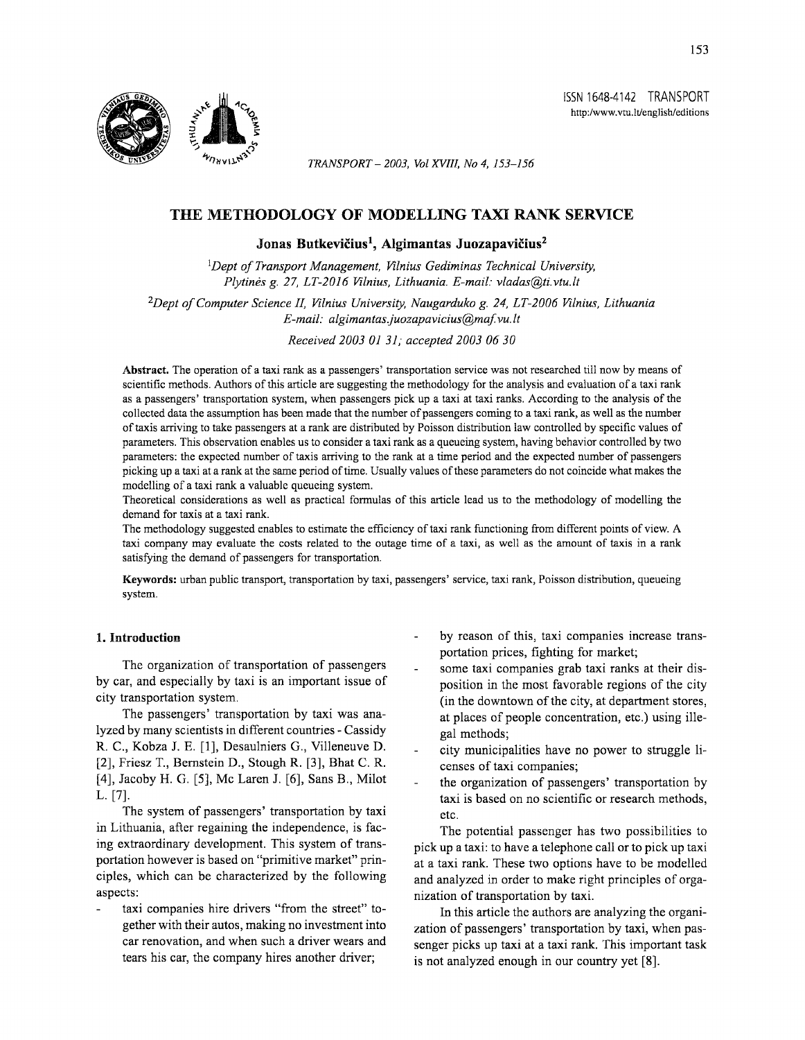



*TRANSPORT- 2003, Vol XVIII, No 4, 153-156* 

# THE METHODOLOGY OF MODELLING TAXI RANK SERVICE

Jonas Butkevičius<sup>1</sup>, Algimantas Juozapavičius<sup>2</sup>

*1 Dept of Transport Management, Vilnius Gediminas Technical University, Plytines* g. *27, LT-2016 Vilnius, Lithuania. E-mail: vladas@ti.vtu.lt* 

*2Dept of Computer Science II, Vilnius University, Naugarduko* g. *24, LT-2006 Vilnius, Lithuania E-mail: algimantas juozapavicius@maf vu.lt* 

*Received 2003 OJ 31; accepted 2003 06 30* 

Abstract. The operation of a taxi rank as a passengers' transportation service was not researched till now by means of scientific methods. Authors of this article are suggesting the methodology for the analysis and evaluation of a taxi rank as a passengers' transportation system, when passengers pick up a taxi at taxi ranks. According to the analysis of the collected data the assumption has been made that the number of passengers coming to a taxi rank, as well as the number of taxis arriving to take passengers at a rank are distributed by Poisson distribution law controlled by specific values of parameters. This observation enables us to consider a taxi rank as a queueing system, having behavior controlled by two parameters: the expected number of taxis arriving to the rank at a time period and the expected number of passengers picking up a taxi at a rank at the same period of time. Usually values of these parameters do not coincide what makes the modelling of a taxi rank a valuable queueing system.

Theoretical considerations as well as practical formulas of this article lead us to the methodology of modelling the demand for taxis at a taxi rank.

The methodology suggested enables to estimate the efficiency of taxi rank functioning from different points of view. A taxi company may evaluate the costs related to the outage time of a taxi, as well as the amount of taxis in a rank satisfying the demand of passengers for transportation.

Keywords: urban public transport, transportation by taxi, passengers' service, taxi rank, Poisson distribution, queueing system.

### 1. Introduction

The organization of transportation of passengers by car, and especially by taxi is an important issue of city transportation system.

The passengers' transportation by taxi was analyzed by many scientists in different countries- Cassidy R. C., Kobza J. E. [1], Desaulniers G., Villeneuve D. [2], Friesz T., Bernstein D., Stough R. [3], Bhat C. R. [4], Jacoby H. G. [5], Me Laren J. [6], Sans B., Milot L. [7].

The system of passengers' transportation by taxi in Lithuania, after regaining the independence, is facing extraordinary development. This system of transportation however is based on "primitive market" principles, which can be characterized by the following aspects:

taxi companies hire drivers "from the street" together with their autos, making no investment into car renovation, and when such a driver wears and tears his car, the company hires another driver;

- by reason of this, taxi companies increase transportation prices, fighting for market;
- some taxi companies grab taxi ranks at their disposition in the most favorable regions of the city (in the downtown of the city, at department stores, at places of people concentration, etc.) using illegal methods;
- city municipalities have no power to struggle licenses of taxi companies;
- the organization of passengers' transportation by taxi is based on no scientific or research methods, etc.

The potential passenger has two possibilities to pick up a taxi: to have a telephone call or to pick up taxi at a taxi rank. These two options have to be modelled and analyzed in order to make right principles of organization of transportation by taxi.

In this article the authors are analyzing the organization of passengers' transportation by taxi, when passenger picks up taxi at a taxi rank. This important task is not analyzed enough in our country yet [8].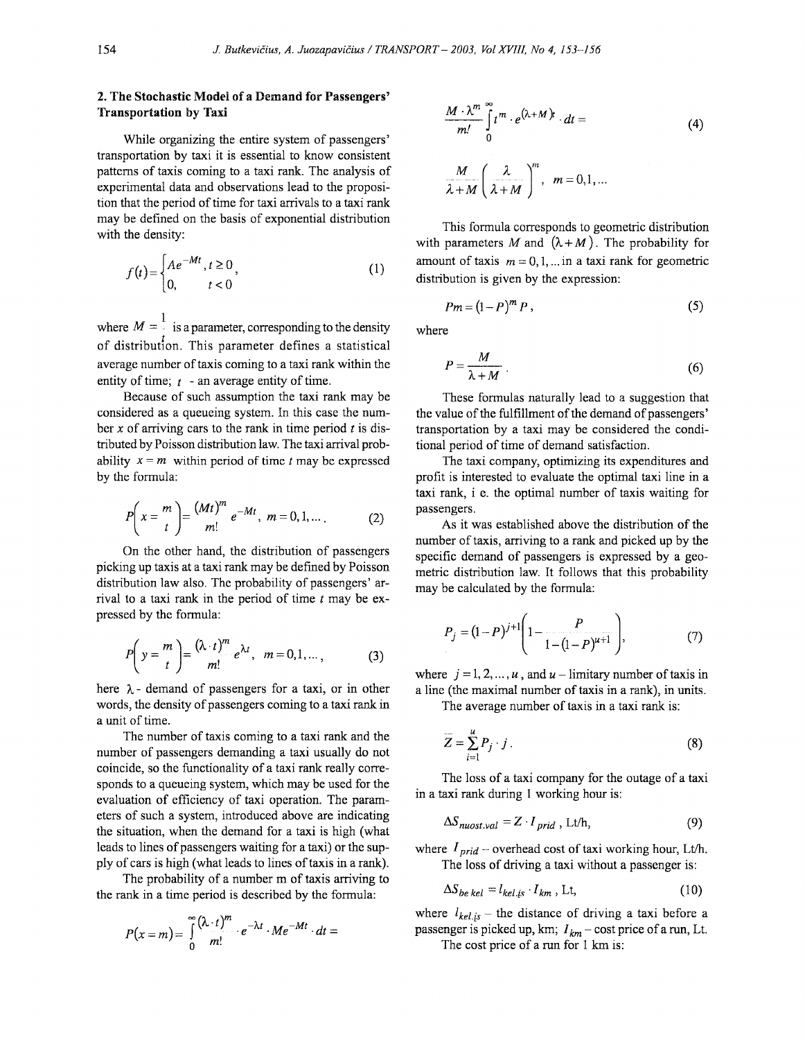## **2. The Stochastic Model of a Demand for Passengers' Transportation by Taxi**

While organizing the entire system of passengers' transportation by taxi it is essential to know consistent patterns of taxis coming to a taxi rank. The analysis of experimental data and observations lead to the proposition that the period of time for taxi arrivals to a taxi rank may be defined on the basis of exponential distribution with the density:

$$
f(t) = \begin{cases} Ae^{-Mt}, t \ge 0, \\ 0, t < 0 \end{cases}
$$
 (1)

where  $M = \frac{1}{a}$  is a parameter, corresponding to the density of distributfon. This parameter defines a statistical average number of taxis coming to a taxi rank within the entity of time; *t* -an average entity of time.

Because of such assumption the taxi rank may be considered as a queueing system. In this case the number *x* of arriving cars to the rank in time period *t* is distributed by Poisson distribution law. The taxi arrival probability  $x = m$  within period of time *t* may be expressed by the formula:

$$
P\left(x = \frac{m}{t}\right) = \frac{(Mt)^m}{m!} e^{-Mt}, \ m = 0, 1, .... \tag{2}
$$

On the other hand, the distribution of passengers picking up taxis at a taxi rank may be defmed by Poisson distribution law also. The probability of passengers' arrival to a taxi rank in the period of time *t* may be expressed by the formula:

$$
P\left(y = \frac{m}{t}\right) = \frac{(\lambda \cdot t)^m}{m!} e^{\lambda t}, \quad m = 0, 1, \dots,
$$
 (3)

here  $\lambda$  - demand of passengers for a taxi, or in other words, the density of passengers coming to a taxi rank in a unit of time.

The number of taxis coming to a taxi rank and the number of passengers demanding a taxi usually do not coincide, so the functionality of a taxi rank really corresponds to a queueing system, which may be used for the evaluation of efficiency of taxi operation. The parameters of such a system, introduced above are indicating the situation, when the demand for a taxi is high (what leads to lines of passengers waiting for a taxi) or the supply of cars is high (what leads to lines of taxis in a rank).

The probability of a number m of taxis arriving to the rank in a time period is described by the formula:

$$
P(x=m)=\int_{0}^{\infty} \frac{(\lambda \cdot t)^m}{m!}\cdot e^{-\lambda t}\cdot Me^{-Mt}\cdot dt=
$$

$$
\frac{M \cdot \lambda^m}{m!} \int_0^\infty t^m \cdot e^{(\lambda + M)t} \cdot dt =
$$
\n
$$
\frac{M}{\lambda + M} \left(\frac{\lambda}{\lambda + M}\right)^m, \quad m = 0, 1, ...
$$
\n(4)

This formula corresponds to geometric distribution with parameters M and  $(\lambda + M)$ . The probability for amount of taxis  $m = 0, 1, ...$  in a taxi rank for geometric distribution is given by the expression:

$$
Pm = (1 - P)^m P, \qquad (5)
$$

where

$$
P = \frac{M}{\lambda + M} \tag{6}
$$

These fonnulas naturally lead to a suggestion that the value of the fulfillment of the demand of passengers' transportation by a taxi may be considered the conditional period of time of demand satisfaction.

The taxi company, optimizing its expenditures and profit is interested to evaluate the optimal taxi line in a taxi rank, i e. the optimal number of taxis waiting for passengers.

As it was established above the distribution of the number of taxis, arriving to a rank and picked up by the specific demand of passengers is expressed by a geometric distribution law. It follows that this probability may be calculated by the formula:

$$
P_j = (1 - P)^{j+1} \left( 1 - \frac{P}{1 - (1 - P)^{u+1}} \right), \tag{7}
$$

where  $j = 1, 2, ..., u$ , and  $u$  – limitary number of taxis in a line (the maximal number of taxis in a rank), in units.

The average number of taxis in a taxi rank is:

$$
\overline{Z} = \sum_{i=1}^{u} P_j \cdot j \tag{8}
$$

The loss of a taxi company for the outage of a taxi in a taxi rank during 1 working hour is:

$$
\Delta S_{nuost.val} = Z \cdot I_{prid} , \text{Lt/h}, \qquad (9)
$$

where  $I_{grid}$  – overhead cost of taxi working hour, Lt/h. The loss of driving a taxi without a passenger is:

$$
\Delta S_{be\;kel} = l_{kel\;is} \cdot l_{km} \;, \; \text{Lt}, \tag{10}
$$

where  $l_{kel, is}$  – the distance of driving a taxi before a passenger is picked up, km;  $I_{km}$  – cost price of a run, Lt.

The cost price of a run for 1 km is: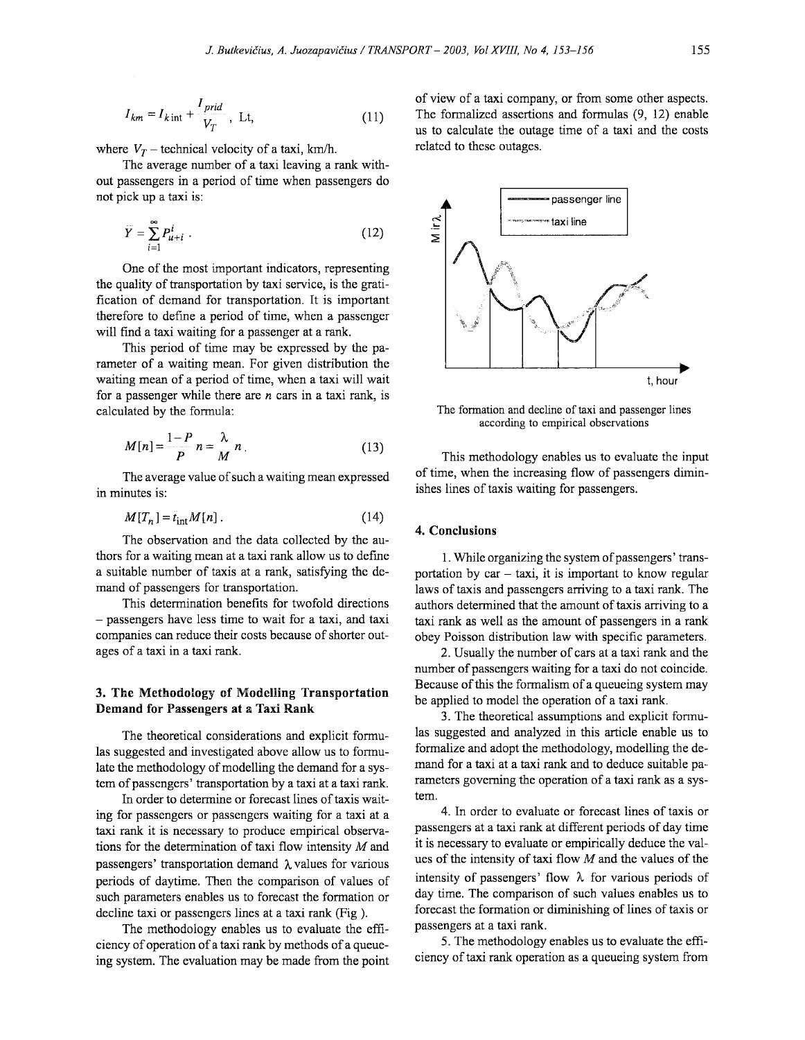$$
I_{km} = I_{k\,\text{int}} + \frac{I_{prid}}{V_T}, \text{ Lt}, \tag{11}
$$

where  $V_T$  – technical velocity of a taxi, km/h.

The average number of a taxi leaving a rank without passengers in a period of time when passengers do not pick up a taxi is:

$$
\widetilde{Y} = \sum_{i=1}^{\infty} P_{u+i}^i \tag{12}
$$

One of the most important indicators, representing the quality of transportation by taxi service, is the gratification of demand for transportation. It is important therefore to defme a period of time, when a passenger will find a taxi waiting for a passenger at a rank.

This period of time may be expressed by the parameter of a waiting mean. For given distribution the waiting mean of a period of time, when a taxi will wait for a passenger while there are *n* cars in a taxi rank, is calculated by the formula:

$$
M[n] = \frac{1-P}{P} n = \frac{\lambda}{M} n \tag{13}
$$

The average value of such a waiting mean expressed in minutes is:

$$
M[T_n] = t_{\text{int}} M[n] \tag{14}
$$

The observation and the data collected by the authors for a waiting mean at a taxi rank allow us to defme a suitable number of taxis at a rank, satisfying the demand of passengers for transportation.

This determination benefits for twofold directions - passengers have less time to wait for a taxi, and taxi companies can reduce their costs because of shorter outages of a taxi in a taxi rank.

## 3. The Methodology of Modelling Transportation Demand for Passengers at a Taxi Rank

The theoretical considerations and explicit formulas suggested and investigated above allow us to formulate the methodology of modelling the demand for a system of passengers' transportation by a taxi at a taxi rank.

In order to determine or forecast lines of taxis waiting for passengers or passengers waiting for a taxi at a taxi rank it is necessary to produce empirical observations for the determination of taxi flow intensity  $M$  and passengers' transportation demand  $\lambda$  values for various periods of daytime. Then the comparison of values of such parameters enables us to forecast the formation or decline taxi or passengers lines at a taxi rank (Fig ).

The methodology enables us to evaluate the efficiency of operation of a taxi rank by methods of a queueing system. The evaluation may be made from the point

of view of a taxi company, or from some other aspects. The formalized assertions and formulas (9, 12) enable us to calculate the outage time of a taxi and the costs related to these outages.



The formation and decline of taxi and passenger lines according to empirical observations

This methodology enables us to evaluate the input of time, when the increasing flow of passengers diminishes lines of taxis waiting for passengers.

#### 4. Conclusions

I. While organizing the system of passengers' transportation by  $car - taxi$ , it is important to know regular laws of taxis and passengers arriving to a taxi rank. The authors determined that the amount of taxis arriving to a taxi rank as well as the amount of passengers in a rank obey Poisson distribution law with specific parameters.

2. Usually the number of cars at a taxi rank and the number of passengers waiting for a taxi do not coincide. Because of this the formalism of a queueing system may be applied to model the operation of a taxi rank.

3. The theoretical assumptions and explicit fonnulas suggested and analyzed in this article enable us to formalize and adopt the methodology, modelling the demand for a taxi at a taxi rank and to deduce suitable parameters governing the operation of a taxi rank as a system.

4. In order to evaluate or forecast lines of taxis or passengers at a taxi rank at different periods of day time it is necessary to evaluate or empirically deduce the values of the intensity of taxi flow  $M$  and the values of the intensity of passengers' flow  $\lambda$  for various periods of day time. The comparison of such values enables us to forecast the formation or diminishing of lines of taxis or passengers at a taxi rank.

5. The methodology enables us to evaluate the efficiency of taxi rank operation as a queueing system from